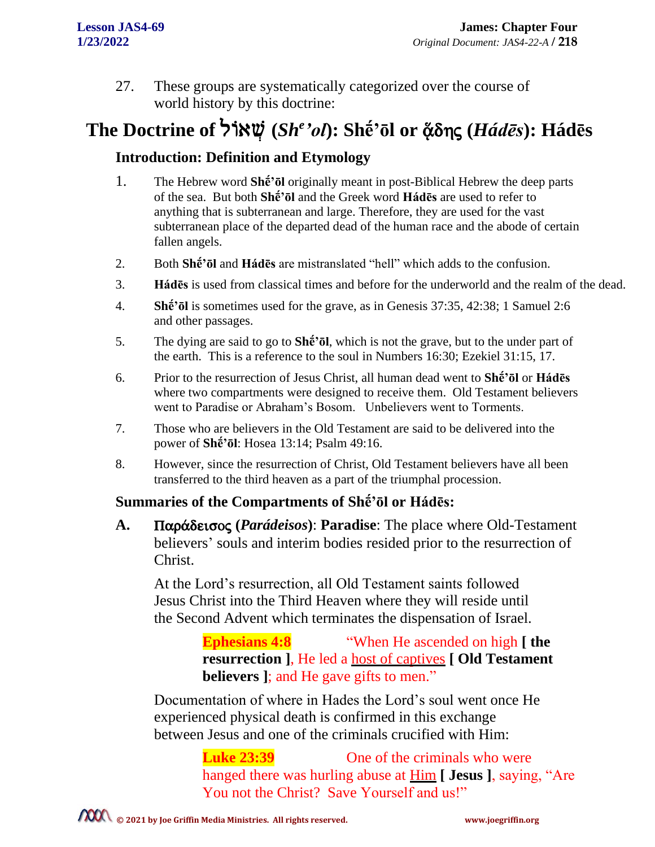27. These groups are systematically categorized over the course of world history by this doctrine:

# The Doctrine of אֲרֹל (*Sh<sup>e 'ol*): Shḗ'ōl or ἄδης (*Hádēs*): Hádēs</sup>

### **Introduction: Definition and Etymology**

- 1. The Hebrew word **Shḗ'ōl** originally meant in post-Biblical Hebrew the deep parts of the sea. But both **Shḗ'ōl** and the Greek word **Hádēs** are used to refer to anything that is subterranean and large. Therefore, they are used for the vast subterranean place of the departed dead of the human race and the abode of certain fallen angels.
- 2. Both **Shḗ'ōl** and **Hádēs** are mistranslated "hell" which adds to the confusion.
- 3. **Hádēs** is used from classical times and before for the underworld and the realm of the dead.
- 4. **Shḗ'ōl** is sometimes used for the grave, as in Genesis 37:35, 42:38; 1 Samuel 2:6 and other passages.
- 5. The dying are said to go to **Shḗ'ōl**, which is not the grave, but to the under part of the earth. This is a reference to the soul in Numbers 16:30; Ezekiel 31:15, 17.
- 6. Prior to the resurrection of Jesus Christ, all human dead went to **Shḗ'ōl** or **Hádēs** where two compartments were designed to receive them. Old Testament believers went to Paradise or Abraham's Bosom. Unbelievers went to Torments.
- 7. Those who are believers in the Old Testament are said to be delivered into the power of **Shḗ'ōl**: Hosea 13:14; Psalm 49:16.
- 8. However, since the resurrection of Christ, Old Testament believers have all been transferred to the third heaven as a part of the triumphal procession.

#### **Summaries of the Compartments of Shḗ'ōl or Hádēs:**

A. Παράδεισος (*Parádeisos*): Paradise: The place where Old-Testament believers' souls and interim bodies resided prior to the resurrection of Christ.

At the Lord's resurrection, all Old Testament saints followed Jesus Christ into the Third Heaven where they will reside until the Second Advent which terminates the dispensation of Israel.

> **Ephesians 4:8** "When He ascended on high **[ the resurrection ]**, He led a host of captives **[ Old Testament believers ]**; and He gave gifts to men."

Documentation of where in Hades the Lord's soul went once He experienced physical death is confirmed in this exchange between Jesus and one of the criminals crucified with Him:

> **Luke 23:39** One of the criminals who were hanged there was hurling abuse at Him **[ Jesus ]**, saying, "Are You not the Christ? Save Yourself and us!"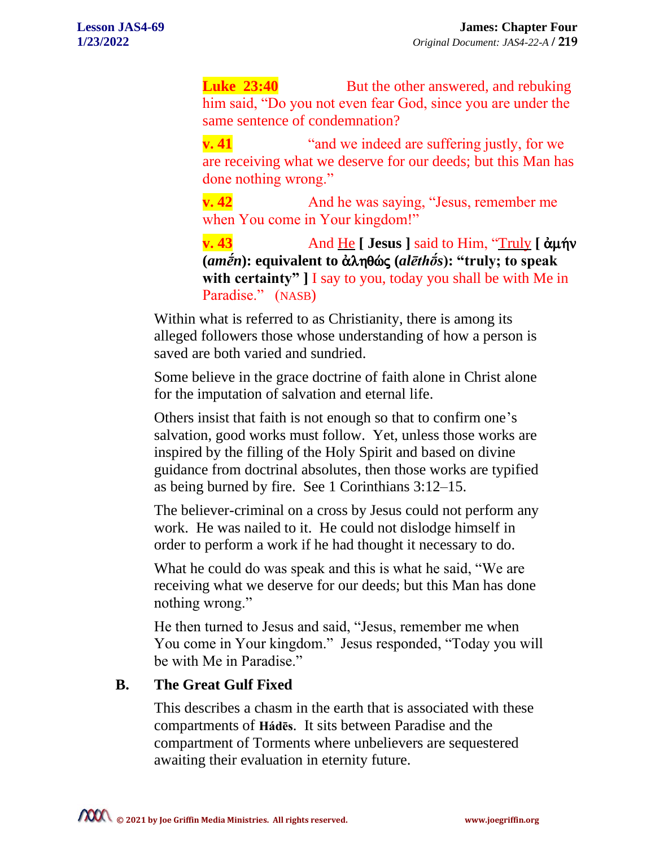**Luke 23:40** But the other answered, and rebuking him said, "Do you not even fear God, since you are under the same sentence of condemnation?

**v. 41** "and we indeed are suffering justly, for we are receiving what we deserve for our deeds; but this Man has done nothing wrong."

**v. 42** And he was saying, "Jesus, remember me when You come in Your kingdom!"

**v. 43** And He **[ Jesus ]** said to Him, "Truly **[** ἀμήν  $(*amén*)$ : equivalent to ἀληθώς (*alēthōs*): "truly; to speak **with certainty" ]** I say to you, today you shall be with Me in Paradise." (NASB)

Within what is referred to as Christianity, there is among its alleged followers those whose understanding of how a person is saved are both varied and sundried.

Some believe in the grace doctrine of faith alone in Christ alone for the imputation of salvation and eternal life.

Others insist that faith is not enough so that to confirm one's salvation, good works must follow. Yet, unless those works are inspired by the filling of the Holy Spirit and based on divine guidance from doctrinal absolutes, then those works are typified as being burned by fire. See 1 Corinthians 3:12–15.

The believer-criminal on a cross by Jesus could not perform any work. He was nailed to it. He could not dislodge himself in order to perform a work if he had thought it necessary to do.

What he could do was speak and this is what he said, "We are receiving what we deserve for our deeds; but this Man has done nothing wrong."

He then turned to Jesus and said, "Jesus, remember me when You come in Your kingdom." Jesus responded, "Today you will be with Me in Paradise."

## **B. The Great Gulf Fixed**

This describes a chasm in the earth that is associated with these compartments of **Hádēs**. It sits between Paradise and the compartment of Torments where unbelievers are sequestered awaiting their evaluation in eternity future.